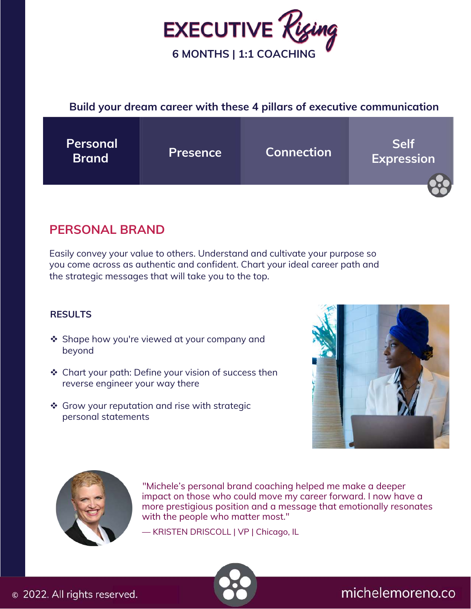

#### **Build your dream career with these 4 pillars of executive communication**



### **PERSONAL BRAND**

Easily convey your value to others. Understand and cultivate your purpose so you come across as authentic and confident. Chart your ideal career path and the strategic messages that will take you to the top.

#### **RESULTS**

- ❖ Shape how you're viewed at your company and beyond
- $\triangle$  Chart your path: Define your vision of success then reverse engineer your way there
- ❖ Grow your reputation and rise with strategic personal statements





 "Michele's personal brand coaching helped me make a deeper  impact on those who could move my career forward. I now have a with the people who matter most." more prestigious position and a message that emotionally resonates

— KRISTEN DRISCOLL | VP | Chicago, IL

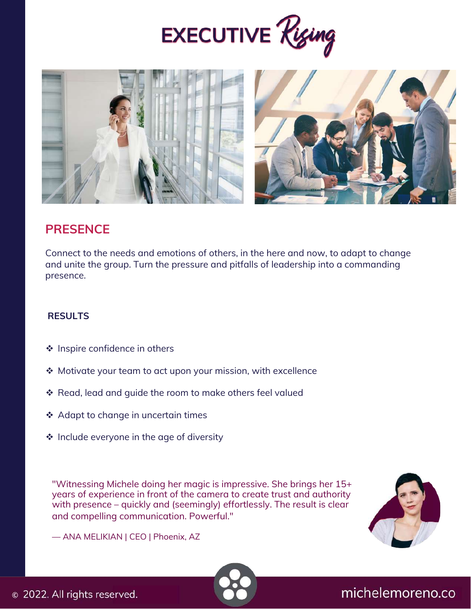



### **PRESENCE**

Connect to the needs and emotions of others, in the here and now, to adapt to change and unite the group. Turn the pressure and pitfalls of leadership into a commanding presence.

#### **RESULTS**

- ❖ Inspire confidence in others
- ◆ Motivate your team to act upon your mission, with excellence
- \* Read, lead and guide the room to make others feel valued
- ❖ Adapt to change in uncertain times
- $\cdot$  Include everyone in the age of diversity

"Witnessing Michele doing her magic is impressive. She brings her 15+ years of experience in front of the camera to create trust and authority with presence – quickly and (seemingly) effortlessly. The result is clear and compelling communication. Powerful."



— ANA MELIKIAN | CEO | Phoenix, AZ

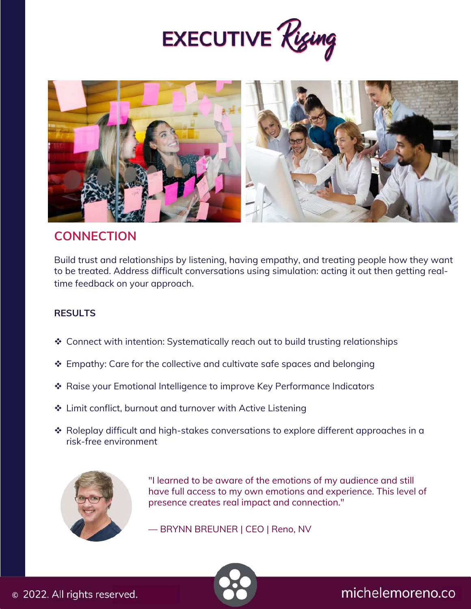



### **CONNECTION**

Build trust and relationships by listening, having empathy, and treating people how they want to be treated. Address difficult conversations using simulation: acting it out then getting realtime feedback on your approach.

#### **RESULTS**

- Connect with intention: Systematically reach out to build trusting relationships
- ❖ Empathy: Care for the collective and cultivate safe spaces and belonging
- Raise your Emotional Intelligence to improve Key Performance Indicators
- ❖ Limit conflict, burnout and turnover with Active Listening
- $\cdot$  Roleplay difficult and high-stakes conversations to explore different approaches in a risk-free environment



"I learned to be aware of the emotions of my audience and still have full access to my own emotions and experience. This level of presence creates real impact and connection."

— BRYNN BREUNER | CEO | Reno, NV

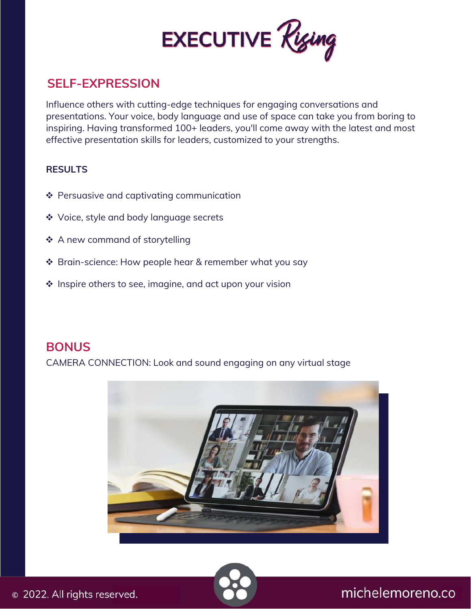

### **SELF-EXPRESSION**

Influence others with cutting-edge techniques for engaging conversations and presentations. Your voice, body language and use of space can take you from boring to inspiring. Having transformed 100+ leaders, you'll come away with the latest and most effective presentation skills for leaders, customized to your strengths.

#### **RESULTS**

- ❖ Persuasive and captivating communication
- Voice, style and body language secrets
- ❖ A new command of storytelling
- ❖ Brain-science: How people hear & remember what you say
- $\triangleq$  Inspire others to see, imagine, and act upon your vision

#### **BONUS**

CAMERA CONNECTION: Look and sound engaging on any virtual stage